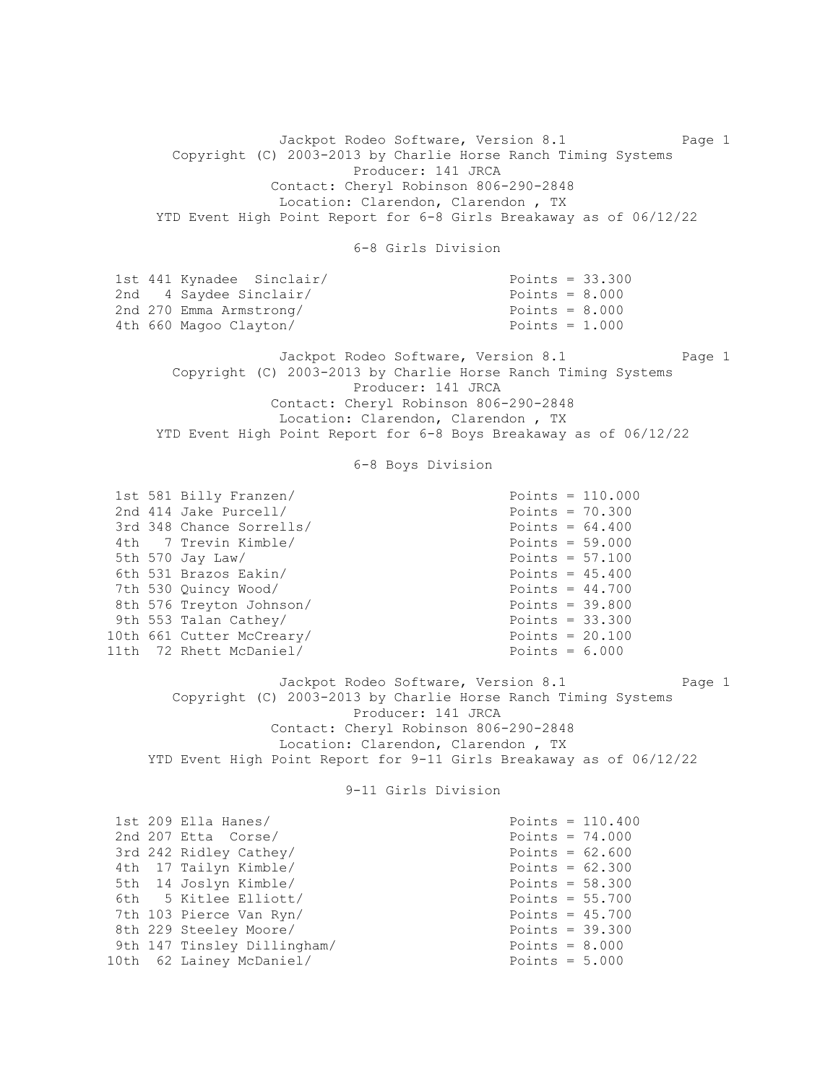Jackpot Rodeo Software, Version 8.1 Page 1 Copyright (C) 2003-2013 by Charlie Horse Ranch Timing Systems Producer: 141 JRCA Contact: Cheryl Robinson 806-290-2848 Location: Clarendon, Clarendon , TX YTD Event High Point Report for 6-8 Girls Breakaway as of 06/12/22 6-8 Girls Division 1st 441 Kynadee Sinclair/ Points = 33.300 2nd 4 Saydee Sinclair/ Points = 8.000<br>
2nd 270 Emma Armstrong/ Points = 8.000 2nd 270 Emma Armstrong/ 4th 660 Magoo Clayton/ Points = 1.000 Jackpot Rodeo Software, Version 8.1 Page 1 Copyright (C) 2003-2013 by Charlie Horse Ranch Timing Systems Producer: 141 JRCA Contact: Cheryl Robinson 806-290-2848 Location: Clarendon, Clarendon , TX YTD Event High Point Report for 6-8 Boys Breakaway as of 06/12/22 6-8 Boys Division 1st 581 Billy Franzen/ Franzen Points = 110.000<br>
2nd 414 Jake Purcell/ Franzen Points = 70.300 2nd 414 Jake Purcell/ 3rd 348 Chance Sorrells/<br>
4th 7 Trevin Kimble/<br>
901nts = 59.000 4th 7 Trevin Kimble/ 5th 570 Jay Law/ Points = 57.100 6th 531 Brazos Eakin/ Points = 45.400 7th 530 Quincy Wood/ Points = 44.700 8th 576 Treyton Johnson/ Points = 39.800 9th 553 Talan Cathey/ Points = 33.300 10th 661 Cutter McCreary/ Points = 20.100 11th 72 Rhett McDaniel/ Points = 6.000 Jackpot Rodeo Software, Version 8.1 Page 1 Copyright (C) 2003-2013 by Charlie Horse Ranch Timing Systems Producer: 141 JRCA Contact: Cheryl Robinson 806-290-2848 Location: Clarendon, Clarendon , TX YTD Event High Point Report for 9-11 Girls Breakaway as of 06/12/22 9-11 Girls Division 1st 209 Ella Hanes/ Points = 110.400  $2nd$   $207$  Etta  $\cos$ e $/$   $2nd$   $207$   $2nd$   $207$   $2nd$   $207$   $2nd$   $208$ 3rd 242 Ridley Cathey/ Points =  $62.600$  4th 17 Tailyn Kimble/ Points = 62.300 5th 14 Joslyn Kimble/ Points = 58.300 6th 5 Kitlee Elliott/ Points = 55.700 7th 103 Pierce Van Ryn/ Points = 45.700 8th 229 Steeley Moore/ Points = 39.300 9th 147 Tinsley Dillingham/ Points = 8.000 10th 62 Lainey McDaniel/ Points = 5.000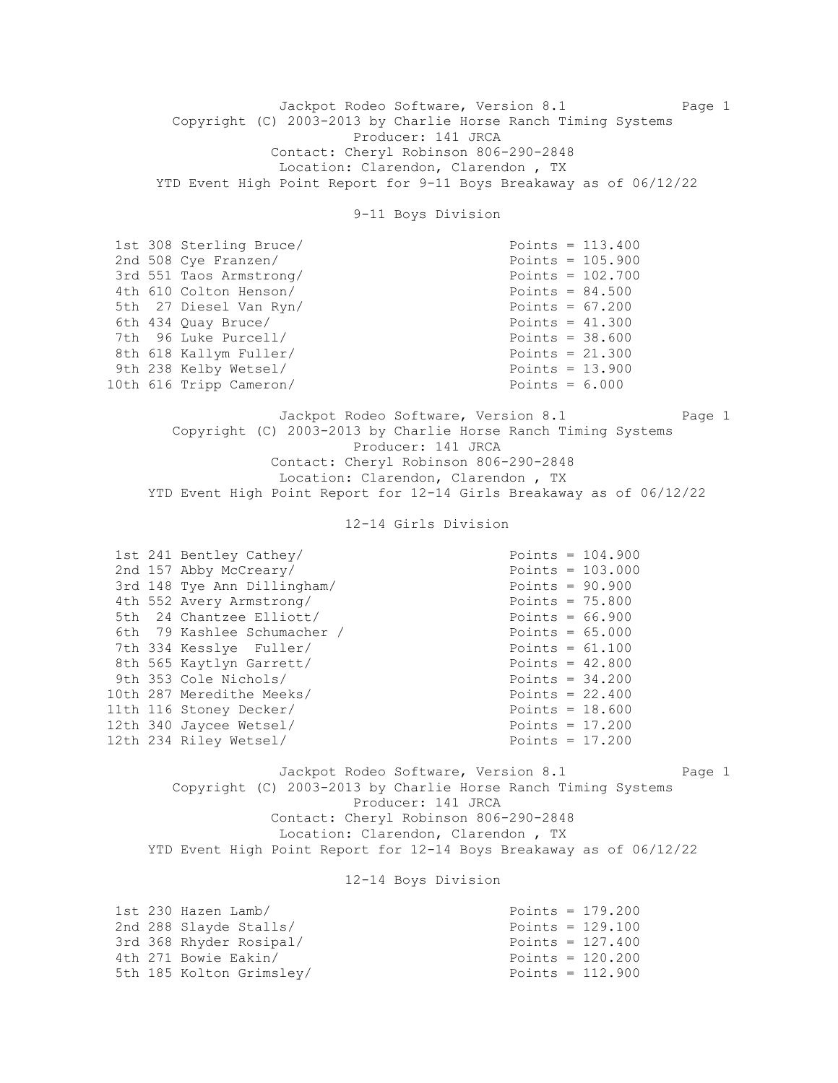Jackpot Rodeo Software, Version 8.1 Page 1 Copyright (C) 2003-2013 by Charlie Horse Ranch Timing Systems Producer: 141 JRCA Contact: Cheryl Robinson 806-290-2848 Location: Clarendon, Clarendon , TX YTD Event High Point Report for 9-11 Boys Breakaway as of 06/12/22

9-11 Boys Division

| 1st 308 Sterling Bruce/ | Points = $113.400$ |
|-------------------------|--------------------|
| 2nd 508 Cye Franzen/    | Points = $105.900$ |
| 3rd 551 Taos Armstrong/ | Points = $102.700$ |
| 4th 610 Colton Henson/  | Points = $84.500$  |
| 5th 27 Diesel Van Ryn/  | Points = $67.200$  |
| 6th 434 Ouay Bruce/     | Points = $41.300$  |
| 7th 96 Luke Purcell/    | Points = $38.600$  |
| 8th 618 Kallym Fuller/  | Points = $21.300$  |
| 9th 238 Kelby Wetsel/   | Points = $13.900$  |
| 10th 616 Tripp Cameron/ | Points = $6.000$   |

Jackpot Rodeo Software, Version 8.1 Page 1 Copyright (C) 2003-2013 by Charlie Horse Ranch Timing Systems Producer: 141 JRCA Contact: Cheryl Robinson 806-290-2848 Location: Clarendon, Clarendon , TX YTD Event High Point Report for 12-14 Girls Breakaway as of 06/12/22

12-14 Girls Division

|  | 1st 241 Bentley Cathey/     | Points = $104.900$ |  |
|--|-----------------------------|--------------------|--|
|  | 2nd 157 Abby McCreary/      | Points = $103.000$ |  |
|  | 3rd 148 Tye Ann Dillingham/ | Points = $90.900$  |  |
|  | 4th 552 Avery Armstrong/    | Points = $75.800$  |  |
|  | 5th 24 Chantzee Elliott/    | Points = $66.900$  |  |
|  | 6th 79 Kashlee Schumacher / | Points = $65.000$  |  |
|  | 7th 334 Kesslye Fuller/     | Points = $61.100$  |  |
|  | 8th 565 Kaytlyn Garrett/    | Points = $42.800$  |  |
|  | 9th 353 Cole Nichols/       | Points = $34.200$  |  |
|  | 10th 287 Meredithe Meeks/   | Points = $22.400$  |  |
|  | 11th 116 Stoney Decker/     | Points = $18.600$  |  |
|  | 12th 340 Jaycee Wetsel/     | Points = $17.200$  |  |
|  | 12th 234 Riley Wetsel/      | Points = $17.200$  |  |

Jackpot Rodeo Software, Version 8.1 Page 1 Copyright (C) 2003-2013 by Charlie Horse Ranch Timing Systems Producer: 141 JRCA Contact: Cheryl Robinson 806-290-2848 Location: Clarendon, Clarendon , TX YTD Event High Point Report for 12-14 Boys Breakaway as of 06/12/22

12-14 Boys Division

| 1st 230 Hazen Lamb/      | Points = $179.200$ |
|--------------------------|--------------------|
| 2nd 288 Slayde Stalls/   | Points = $129.100$ |
| 3rd 368 Rhyder Rosipal/  | Points = $127.400$ |
| 4th 271 Bowie Eakin/     | Points = $120.200$ |
| 5th 185 Kolton Grimsley/ | Points = $112.900$ |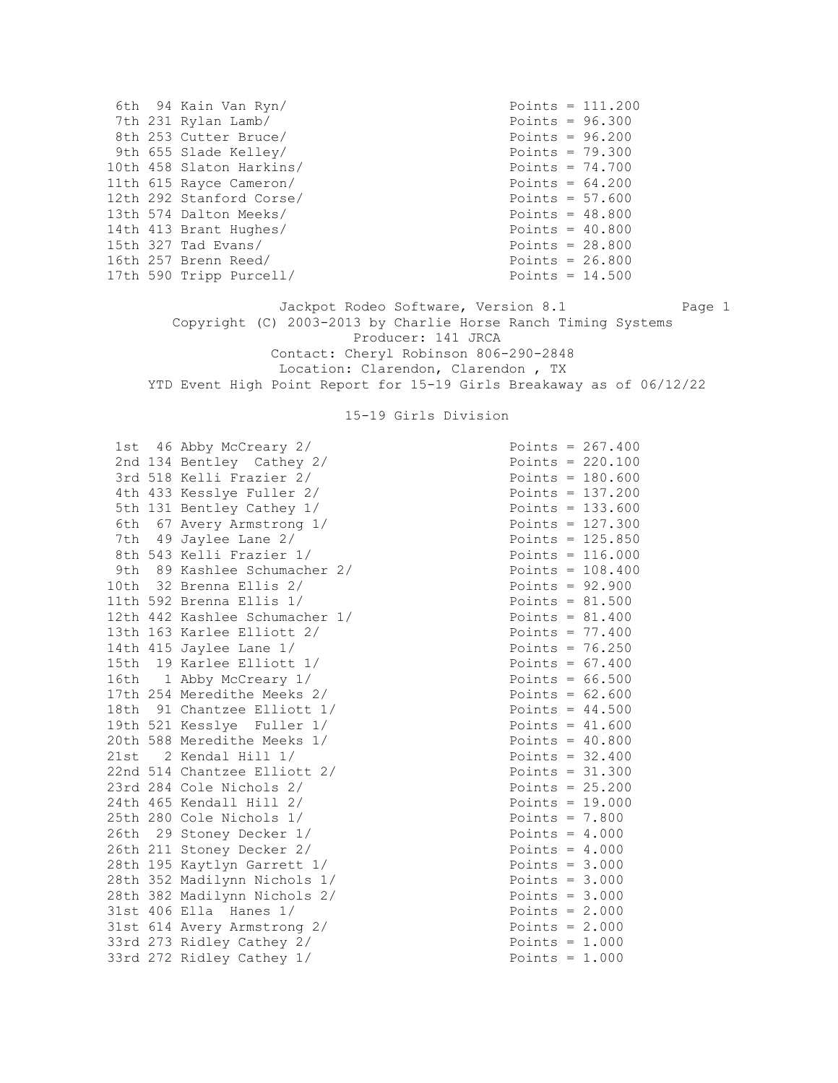|  | 6th 94 Kain Van Ryn/     | Points = $111.200$ |
|--|--------------------------|--------------------|
|  | 7th 231 Rylan Lamb/      | Points = $96.300$  |
|  | 8th 253 Cutter Bruce/    | Points = $96.200$  |
|  | 9th 655 Slade Kelley/    | Points = $79.300$  |
|  | 10th 458 Slaton Harkins/ | Points = $74.700$  |
|  | 11th 615 Rayce Cameron/  | Points = $64.200$  |
|  | 12th 292 Stanford Corse/ | Points = $57.600$  |
|  | 13th 574 Dalton Meeks/   | Points = $48.800$  |
|  | 14th 413 Brant Hughes/   | Points = $40.800$  |
|  | 15th 327 Tad Evans/      | Points = $28.800$  |
|  | 16th 257 Brenn Reed/     | Points = $26.800$  |
|  | 17th 590 Tripp Purcell/  | Points = $14.500$  |

Jackpot Rodeo Software, Version 8.1 Page 1 Copyright (C) 2003-2013 by Charlie Horse Ranch Timing Systems Producer: 141 JRCA Contact: Cheryl Robinson 806-290-2848 Location: Clarendon, Clarendon , TX YTD Event High Point Report for 15-19 Girls Breakaway as of 06/12/22

#### 15-19 Girls Division

1st  $46$  Abby McCreary  $2/$  Points = 267.400 2nd 134 Bentley Cathey 2/ 3rd 518 Kelli Frazier 2/ 4th 433 Kesslye Fuller 2/ 5th 131 Bentley Cathey 1/ 6th 67 Avery Armstrong 1/ 7th 49 Jaylee Lane 2/ 8th 543 Kelli Frazier 1/ 9th 89 Kashlee Schumacher 2/ 10th  $32$  Brenna Ellis  $2/$ 11th 592 Brenna Ellis  $1/$ 12th 442 Kashlee Schumacher 1/ 13th 163 Karlee Elliott  $2/$ 14th 415 Jaylee Lane  $1/$ 15th 19 Karlee Elliott  $1/$ 16th 1 Abby McCreary 1/ 17th 254 Meredithe Meeks 2/ 18th 91 Chantzee Elliott 1/ 19th 521 Kesslye Fuller 1/ 20th 588 Meredithe Meeks 1/  $21st$  2 Kendal Hill  $1/$ 22nd 514 Chantzee Elliott 2/  $23rd$   $284$  Cole Nichols  $2/$  $24th$  465 Kendall Hill  $2/$ 25th 280 Cole Nichols  $1/$ 26th 29 Stoney Decker 1/ 26th 211 Stoney Decker 2/ 28th 195 Kaytlyn Garrett 1/ 28th 352 Madilynn Nichols 1/ 28th 382 Madilynn Nichols 2/  $31st$  406 Ella Hanes  $1/$ 31st 614 Avery Armstrong 2/ 33rd 273 Ridley Cathey  $2/$ 33rd 272 Ridley Cathey 1/

| Poınts | $=$ | 267.400                          |
|--------|-----|----------------------------------|
| Points | $=$ | 220.100                          |
| Points | $=$ | 180.600                          |
| Points | $=$ | 137.<br>200                      |
| Points |     | 133.600                          |
| Points | $=$ | 127.300                          |
| Points | $=$ | 125.850                          |
| Points | $=$ | 116.000                          |
| Points | $=$ | 108.400                          |
| Points | $=$ | 92.900                           |
| Points | $=$ | 81.500                           |
| Points | $=$ | 81.400                           |
| Points | =   | .400<br>77                       |
| Points | $=$ | 76.250                           |
| Points | $=$ | 67.400                           |
| Points | $=$ | 66.500                           |
| Points | $=$ | 62.600                           |
| Points | $=$ | 44<br>.500                       |
| Points | $=$ | 41<br>.600                       |
| Points | $=$ | 40.800                           |
| Points | $=$ | 32.400                           |
| Points | $=$ | 31.300                           |
| Points | $=$ | 25.200                           |
| Points | $=$ | 19.000                           |
| Points | $=$ | 7.800                            |
| Points | $=$ | 4<br>$\ddot{\phantom{a}}$<br>000 |
| Points | $=$ | 4<br>000<br>$\ddot{\phantom{a}}$ |
| Points | $=$ | 3.<br>000                        |
| Points | $=$ | $\ddot{\phantom{a}}$<br>3<br>000 |
| Points | $=$ | $\overline{a}$<br>3<br>000       |
| Points |     | $\overline{2}$ .<br>000          |
| Points | $=$ | 000<br>2.                        |
| Points | $=$ | 1.<br>000                        |
| Points | $=$ | $\mathbf 1$<br>.000              |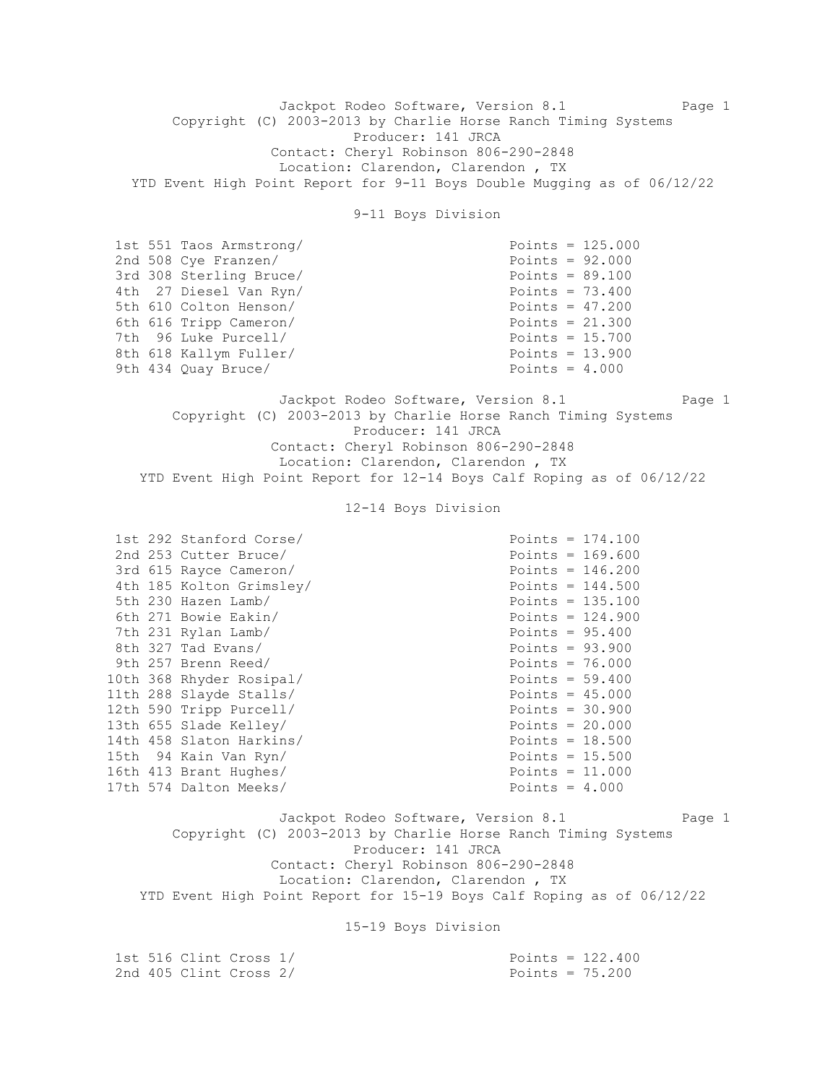Jackpot Rodeo Software, Version 8.1 Page 1 Copyright (C) 2003-2013 by Charlie Horse Ranch Timing Systems Producer: 141 JRCA Contact: Cheryl Robinson 806-290-2848 Location: Clarendon, Clarendon , TX YTD Event High Point Report for 9-11 Boys Double Mugging as of 06/12/22

9-11 Boys Division

| 1st 551 Taos Armstrong/ | Points = $125.000$ |  |
|-------------------------|--------------------|--|
| 2nd 508 Cye Franzen/    | Points = $92.000$  |  |
| 3rd 308 Sterling Bruce/ | Points = $89.100$  |  |
| 4th 27 Diesel Van Ryn/  | Points = $73.400$  |  |
| 5th 610 Colton Henson/  | Points = $47.200$  |  |
| 6th 616 Tripp Cameron/  | Points = $21.300$  |  |
| 7th 96 Luke Purcell/    | Points = $15.700$  |  |
| 8th 618 Kallym Fuller/  | Points = $13.900$  |  |
| 9th 434 Ouay Bruce/     | Points = $4.000$   |  |

Jackpot Rodeo Software, Version 8.1 Page 1 Copyright (C) 2003-2013 by Charlie Horse Ranch Timing Systems Producer: 141 JRCA Contact: Cheryl Robinson 806-290-2848 Location: Clarendon, Clarendon , TX YTD Event High Point Report for 12-14 Boys Calf Roping as of 06/12/22

12-14 Boys Division

|  | 1st 292 Stanford Corse/  |                    | Points = $174.100$ |
|--|--------------------------|--------------------|--------------------|
|  | 2nd 253 Cutter Bruce/    |                    | Points = $169.600$ |
|  | 3rd 615 Rayce Cameron/   | Points = $146.200$ |                    |
|  | 4th 185 Kolton Grimsley/ |                    | Points = $144.500$ |
|  | 5th 230 Hazen Lamb/      | Points = $135.100$ |                    |
|  | 6th 271 Bowie Eakin/     | Points = $124.900$ |                    |
|  | 7th 231 Rylan Lamb/      | Points = $95.400$  |                    |
|  | 8th 327 Tad Evans/       | Points = $93.900$  |                    |
|  | 9th 257 Brenn Reed/      | Points = $76.000$  |                    |
|  | 10th 368 Rhyder Rosipal/ | Points = $59.400$  |                    |
|  | 11th 288 Slayde Stalls/  | Points = $45.000$  |                    |
|  | 12th 590 Tripp Purcell/  | Points = $30.900$  |                    |
|  | 13th 655 Slade Kelley/   | Points = $20.000$  |                    |
|  | 14th 458 Slaton Harkins/ | Points = $18.500$  |                    |
|  | 15th 94 Kain Van Ryn/    | Points = $15.500$  |                    |
|  | 16th 413 Brant Hughes/   | Points = $11.000$  |                    |
|  | 17th 574 Dalton Meeks/   | Points = $4.000$   |                    |

Jackpot Rodeo Software, Version 8.1 Page 1 Copyright (C) 2003-2013 by Charlie Horse Ranch Timing Systems Producer: 141 JRCA Contact: Cheryl Robinson 806-290-2848 Location: Clarendon, Clarendon , TX YTD Event High Point Report for 15-19 Boys Calf Roping as of 06/12/22

15-19 Boys Division

| 1st 516 Clint Cross 1/ | Points = $122.400$ |  |
|------------------------|--------------------|--|
| 2nd 405 Clint Cross 2/ | Points = $75.200$  |  |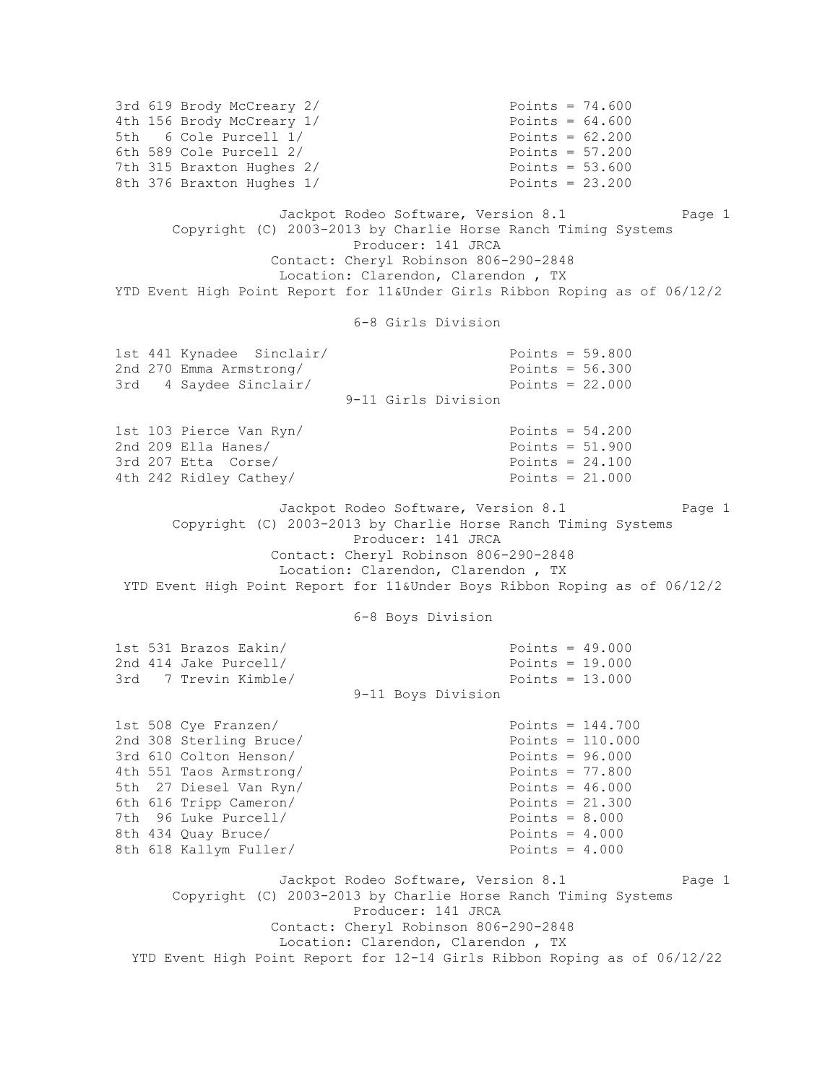3rd 619 Brody McCreary 2/ Points = 74.600 4th 156 Brody McCreary 1/ Points = 64.600<br>
5th 6 Cole Purcell 1/ Points = 62.200 5th  $6$  Cole Purcell  $1/$ 6th 589 Cole Purcell 2/ Points = 57.200 7th 315 Braxton Hughes 2/ Points = 53.600 8th 376 Braxton Hughes 1/ Points = 23.200 Jackpot Rodeo Software, Version 8.1 Page 1 Copyright (C) 2003-2013 by Charlie Horse Ranch Timing Systems Producer: 141 JRCA Contact: Cheryl Robinson 806-290-2848 Location: Clarendon, Clarendon , TX YTD Event High Point Report for 11&Under Girls Ribbon Roping as of 06/12/2 6-8 Girls Division 1st 441 Kynadee Sinclair/ Points = 59.800 2nd 270 Emma Armstrong/ Points = 56.300 3rd 4 Saydee Sinclair/ Points = 22.000 9-11 Girls Division 1st 103 Pierce Van Ryn/ Points = 54.200 2nd 209 Ella Hanes/ Points = 51.900  $3rd$  207 Etta Corse/  $20d$  Points = 24.100 4th 242 Ridley Cathey/ Points = 21.000 Jackpot Rodeo Software, Version 8.1 Page 1 Copyright (C) 2003-2013 by Charlie Horse Ranch Timing Systems Producer: 141 JRCA Contact: Cheryl Robinson 806-290-2848 Location: Clarendon, Clarendon , TX YTD Event High Point Report for 11&Under Boys Ribbon Roping as of 06/12/2 6-8 Boys Division 1st 531 Brazos Eakin/ Points = 49.000 2nd 414 Jake Purcell/ 3rd 7 Trevin Kimble/ Points = 13.000 9-11 Boys Division 1st 508 Cye Franzen/ Points = 144.700 2nd 308 Sterling Bruce/ Points = 110.000 3rd 610 Colton Henson/ Points = 96.000 4th 551 Taos Armstrong/<br>
5th 27 Diesel Van Ryn/<br>
Points = 46.000 5th 27 Diesel Van Ryn/<br>6th 616 Tripp Cameron/ Points = 21.300 6th 616 Tripp Cameron/ 7th 96 Luke Purcell/ Points = 8.000 8th 434 Quay Bruce/ Points = 4.000 8th 618 Kallym Fuller/ Points = 4.000 Jackpot Rodeo Software, Version 8.1 Page 1 Copyright (C) 2003-2013 by Charlie Horse Ranch Timing Systems Producer: 141 JRCA Contact: Cheryl Robinson 806-290-2848 Location: Clarendon, Clarendon , TX YTD Event High Point Report for 12-14 Girls Ribbon Roping as of 06/12/22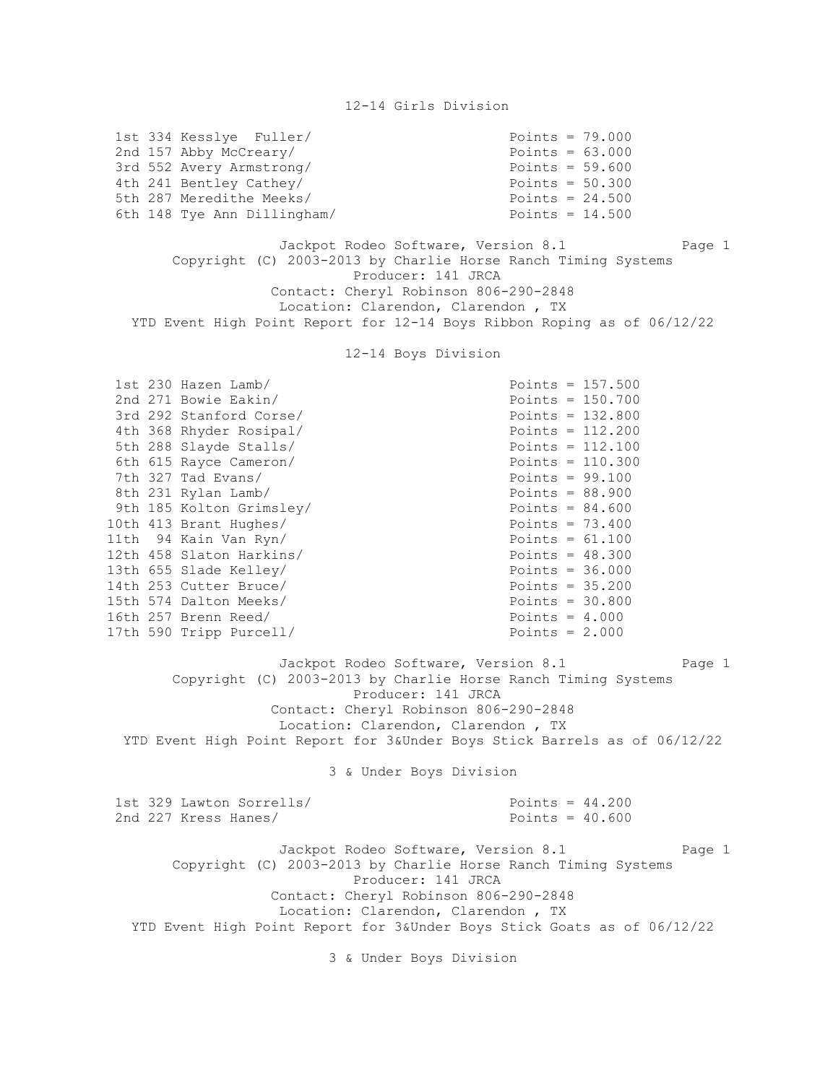| 1st 334 Kesslye Fuller/<br>2nd 157 Abby McCreary/<br>3rd 552 Avery Armstrong/<br>4th 241 Bentley Cathey/<br>5th 287 Meredithe Meeks/<br>6th 148 Tye Ann Dillingham/                                                                                                                                                                                                                                                                            | Points = $79.000$<br>Points = $63.000$<br>Points = $59.600$<br>Points = $50.300$<br>Points = $24.500$<br>Points = $14.500$                                                                                                                                                                                                                                                      |  |  |  |
|------------------------------------------------------------------------------------------------------------------------------------------------------------------------------------------------------------------------------------------------------------------------------------------------------------------------------------------------------------------------------------------------------------------------------------------------|---------------------------------------------------------------------------------------------------------------------------------------------------------------------------------------------------------------------------------------------------------------------------------------------------------------------------------------------------------------------------------|--|--|--|
| Jackpot Rodeo Software, Version 8.1<br>Page 1<br>Copyright (C) 2003-2013 by Charlie Horse Ranch Timing Systems<br>Producer: 141 JRCA<br>Contact: Cheryl Robinson 806-290-2848<br>Location: Clarendon, Clarendon, TX<br>YTD Event High Point Report for 12-14 Boys Ribbon Roping as of 06/12/22                                                                                                                                                 |                                                                                                                                                                                                                                                                                                                                                                                 |  |  |  |
| 12-14 Boys Division                                                                                                                                                                                                                                                                                                                                                                                                                            |                                                                                                                                                                                                                                                                                                                                                                                 |  |  |  |
| 1st 230 Hazen Lamb/<br>2nd 271 Bowie Eakin/<br>3rd 292 Stanford Corse/<br>4th 368 Rhyder Rosipal/<br>5th 288 Slayde Stalls/<br>6th 615 Rayce Cameron/<br>7th 327 Tad Evans/<br>8th 231 Rylan Lamb/<br>9th 185 Kolton Grimsley/<br>10th 413 Brant Hughes/<br>11th 94 Kain Van Ryn/<br>12th 458 Slaton Harkins/<br>13th 655 Slade Kelley/<br>14th 253 Cutter Bruce/<br>15th 574 Dalton Meeks/<br>16th 257 Brenn Reed/<br>17th 590 Tripp Purcell/ | Points = $157.500$<br>Points = $150.700$<br>Points = $132.800$<br>Points = $112.200$<br>Points = $112.100$<br>Points = $110.300$<br>Points = $99.100$<br>Points = $88.900$<br>Points = $84.600$<br>Points = $73.400$<br>Points = $61.100$<br>Points = $48.300$<br>Points = $36.000$<br>Points = $35.200$<br>Points = $30.800$<br>Points = $4.000$<br>Points = $2.000$<br>Page 1 |  |  |  |
| Jackpot Rodeo Software, Version 8.1<br>Copyright (C) 2003-2013 by Charlie Horse Ranch Timing Systems<br>Producer: 141 JRCA<br>Contact: Cheryl Robinson 806-290-2848<br>Location: Clarendon, Clarendon, TX<br>YTD Event High Point Report for 3&Under Boys Stick Barrels as of 06/12/22                                                                                                                                                         |                                                                                                                                                                                                                                                                                                                                                                                 |  |  |  |
| 3 & Under Boys Division                                                                                                                                                                                                                                                                                                                                                                                                                        |                                                                                                                                                                                                                                                                                                                                                                                 |  |  |  |
| 1st 329 Lawton Sorrells/<br>2nd 227 Kress Hanes/                                                                                                                                                                                                                                                                                                                                                                                               | Points = $44.200$<br>Points = $40.600$                                                                                                                                                                                                                                                                                                                                          |  |  |  |
| Jackpot Rodeo Software, Version 8.1<br>Page 1<br>Copyright (C) 2003-2013 by Charlie Horse Ranch Timing Systems<br>Producer: 141 JRCA<br>Contact: Cheryl Robinson 806-290-2848<br>Location: Clarendon, Clarendon, TX<br>YTD Event High Point Report for 3&Under Boys Stick Goats as of 06/12/22                                                                                                                                                 |                                                                                                                                                                                                                                                                                                                                                                                 |  |  |  |
| 3 & Under Boys Division                                                                                                                                                                                                                                                                                                                                                                                                                        |                                                                                                                                                                                                                                                                                                                                                                                 |  |  |  |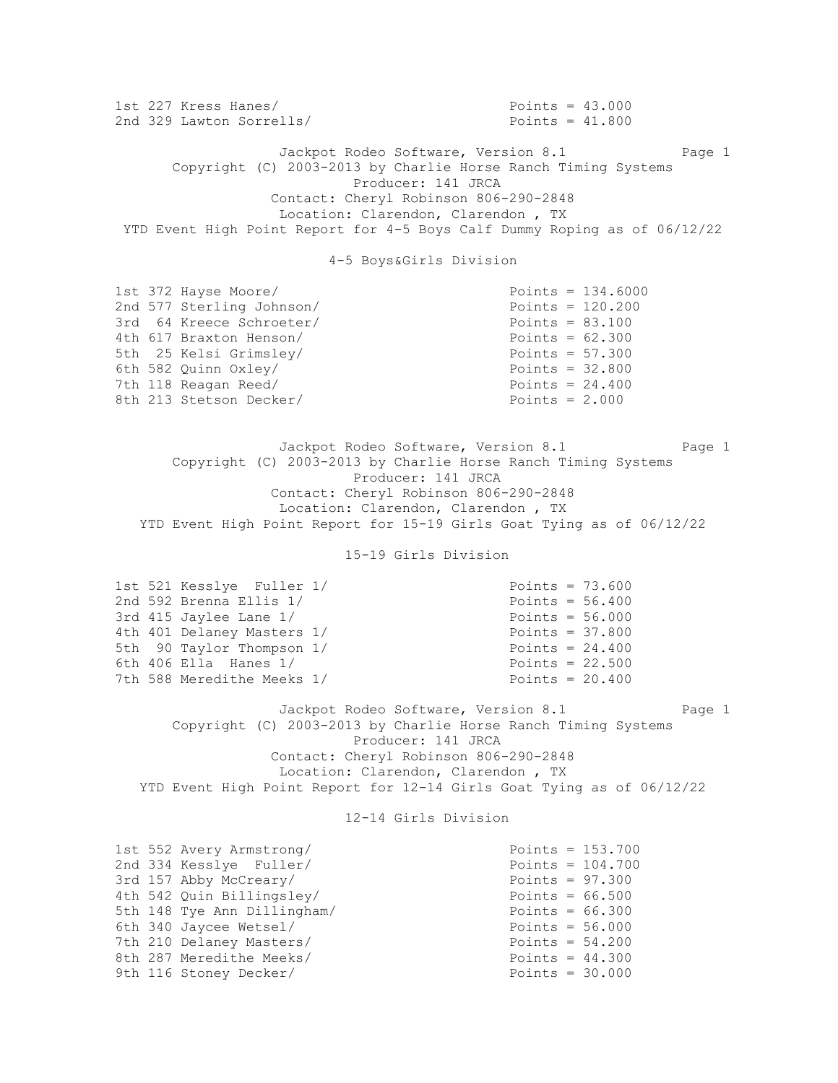1st 227 Kress Hanes/ Points = 43.000 2nd 329 Lawton Sorrells/ Points = 41.800 Jackpot Rodeo Software, Version 8.1 Page 1 Copyright (C) 2003-2013 by Charlie Horse Ranch Timing Systems Producer: 141 JRCA Contact: Cheryl Robinson 806-290-2848 Location: Clarendon, Clarendon , TX YTD Event High Point Report for 4-5 Boys Calf Dummy Roping as of 06/12/22 4-5 Boys&Girls Division 1st 372 Hayse Moore/ Points = 134.6000 2nd 577 Sterling Johnson/ Points = 120.200 3rd 64 Kreece Schroeter/ Points = 83.100 4th 617 Braxton Henson/ Points = 62.300 5th 25 Kelsi Grimsley/ Points = 57.300 6th 582 Quinn Oxley/ Points = 32.800 7th 118 Reagan Reed/ Points = 24.400  $8th$  213 Stetson Decker/  $90th$  213 Stetson Decker/  $90th$  213 Stetson Decker/ Jackpot Rodeo Software, Version 8.1 Page 1 Copyright (C) 2003-2013 by Charlie Horse Ranch Timing Systems Producer: 141 JRCA Contact: Cheryl Robinson 806-290-2848 Location: Clarendon, Clarendon , TX YTD Event High Point Report for 15-19 Girls Goat Tying as of 06/12/22 15-19 Girls Division 1st 521 Kesslye Fuller 1/ Points = 73.600 2nd 592 Brenna Ellis 1/ Points = 56.400 3rd 415 Jaylee Lane 1/ Points = 56.000 4th 401 Delaney Masters 1/ Points = 37.800 5th 90 Taylor Thompson 1/ Points = 24.400 6th 406 Ella Hanes 1/ Points = 22.500 7th 588 Meredithe Meeks 1/ Points = 20.400 Jackpot Rodeo Software, Version 8.1 Page 1 Copyright (C) 2003-2013 by Charlie Horse Ranch Timing Systems Producer: 141 JRCA Contact: Cheryl Robinson 806-290-2848 Location: Clarendon, Clarendon , TX YTD Event High Point Report for 12-14 Girls Goat Tying as of 06/12/22 12-14 Girls Division 1st 552 Avery Armstrong/ Points = 153.700  $2nd$  334 Kesslye Fuller/  $2nd$   $334$   $Kessley$   $Fuller/$  $3rd 157$  Abby McCreary/  $97.300$ 4th 542 Quin Billingsley/<br>
5th 148 Tye Ann Dillingham/<br>
6th 340 Javaso Motsel/<br>
90ints = 56 000 5th 148 Tye Ann Dillingham/ Points = 66.300 6th 340 Jaycee Wetsel/ Points = 56.000 7th 210 Delaney Masters/ Points = 54.200 8th 287 Meredithe Meeks/ Points = 44.300 9th 116 Stoney Decker/ Points = 30.000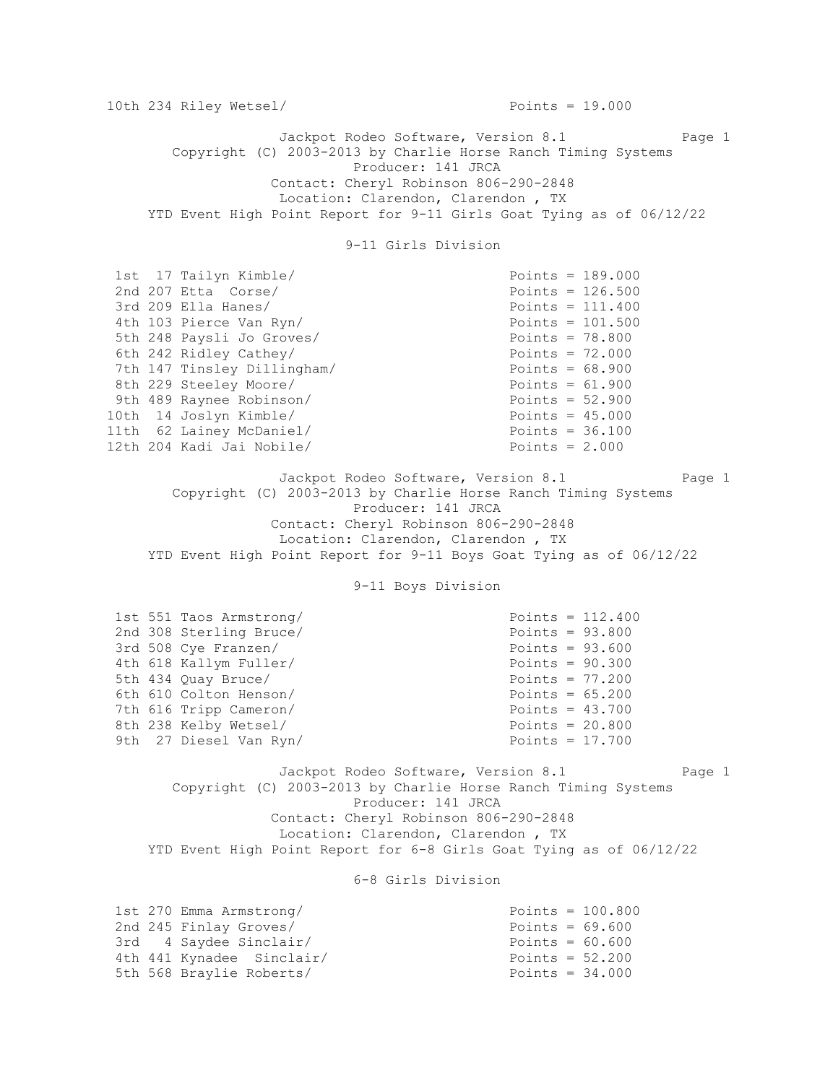10th 234 Riley Wetsel/ Points = 19.000 Jackpot Rodeo Software, Version 8.1 Page 1 Copyright (C) 2003-2013 by Charlie Horse Ranch Timing Systems Producer: 141 JRCA Contact: Cheryl Robinson 806-290-2848 Location: Clarendon, Clarendon , TX YTD Event High Point Report for 9-11 Girls Goat Tying as of 06/12/22 9-11 Girls Division 1st 17 Tailyn Kimble/ Points = 189.000 2nd 207 Etta Corse/ Points = 126.500 3rd 209 Ella Hanes/ Points = 111.400 4th 103 Pierce Van Ryn/<br>
5th 248 Paysli Jo Groves/<br>
Foints = 78.800<br>
6th 242 Pidlow Cathor/ 5th 248 Paysli Jo Groves/ Points = 78.800 6th 242 Ridley Cathey/ Points = 72.000 7th 147 Tinsley Dillingham/ Points = 68.900 8th 229 Steeley Moore/ Points = 61.900 9th 489 Raynee Robinson/ Points = 52.900 10th 14 Joslyn Kimble/ Points = 45.000 11th 62 Lainey McDaniel/ **Example 20** Points = 36.100 12th 204 Kadi Jai Nobile/ Points = 2.000 Jackpot Rodeo Software, Version 8.1 Page 1 Copyright (C) 2003-2013 by Charlie Horse Ranch Timing Systems Producer: 141 JRCA Contact: Cheryl Robinson 806-290-2848 Location: Clarendon, Clarendon , TX YTD Event High Point Report for 9-11 Boys Goat Tying as of 06/12/22 9-11 Boys Division  $1st$  551 Taos Armstrong/  $Points = 112.400$ 2nd 308 Sterling Bruce/ Points = 93.800 3rd 508 Cye Franzen/<br>
4th 618 Kallym Fuller/<br>
201300 Points = 90.300 4th 618 Kallym Fuller/ Points = 90.300<br>
5th 434 Quay Bruce/ Points = 77.200 5th 434 Quay Bruce/<br>
6th 610 Colton Henson/<br>
90ints = 65.200 6th 610 Colton Henson/ 7th 616 Tripp Cameron/ Points = 43.700 8th 238 Kelby Wetsel/ Points = 20.800 9th 27 Diesel Van Ryn/ Points = 17.700 Jackpot Rodeo Software, Version 8.1 Page 1 Copyright (C) 2003-2013 by Charlie Horse Ranch Timing Systems Producer: 141 JRCA Contact: Cheryl Robinson 806-290-2848 Location: Clarendon, Clarendon , TX YTD Event High Point Report for 6-8 Girls Goat Tying as of 06/12/22 6-8 Girls Division

1st 270 Emma Armstrong/ Points = 100.800 2nd 245 Finlay Groves/ Points = 69.600 3rd 4 Saydee Sinclair/ Points = 60.600 4th 441 Kynadee Sinclair/ Points = 52.200 5th 568 Braylie Roberts/ Points = 34.000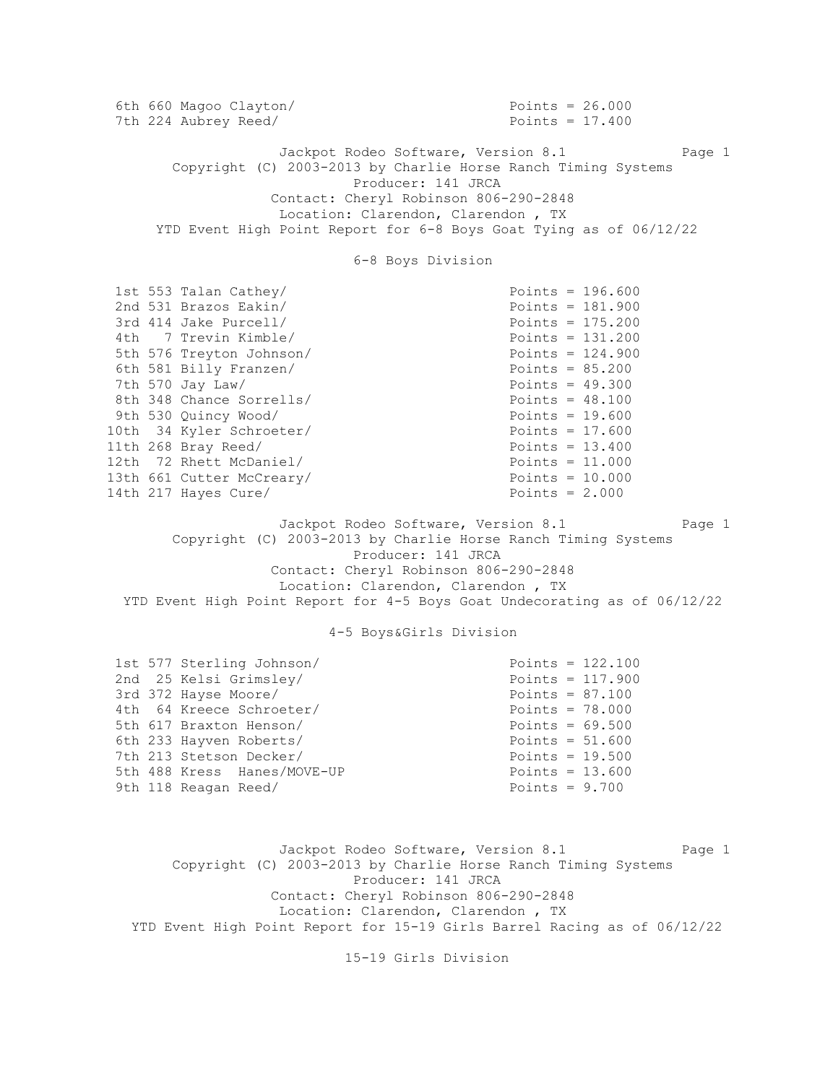6th 660 Magoo Clayton/ Points = 26.000 7th 224 Aubrey Reed/ Points = 17.400 Jackpot Rodeo Software, Version 8.1 Page 1 Copyright (C) 2003-2013 by Charlie Horse Ranch Timing Systems Producer: 141 JRCA Contact: Cheryl Robinson 806-290-2848 Location: Clarendon, Clarendon , TX YTD Event High Point Report for 6-8 Boys Goat Tying as of 06/12/22 6-8 Boys Division 1st 553 Talan Cathey/ Points = 196.600  $2nd$  531 Brazos Eakin/  $2nd$  531 Brazos Eakin/ 3rd 414 Jake Purcell/ Points = 175.200<br>
4th 7 Trevin Kimble/ Points = 131.200 4th 7 Trevin Kimble/ 5th 576 Treyton Johnson/<br>
6th 581 Billy Franzen/<br>
Points = 85.200 6th 581 Billy Franzen/ 7th 570 Jay Law/ Points = 49.300 8th 348 Chance Sorrells/ Points = 48.100 9th 530 Quincy Wood/ Points = 19.600 10th 34 Kyler Schroeter/ Points = 17.600 11th 268 Bray Reed/ Points = 13.400 12th 72 Rhett McDaniel/ Points = 11.000 13th 661 Cutter McCreary/ Points = 10.000 14th 217 Hayes Cure/ **Points = 2.000** Jackpot Rodeo Software, Version 8.1 Page 1 Copyright (C) 2003-2013 by Charlie Horse Ranch Timing Systems Producer: 141 JRCA Contact: Cheryl Robinson 806-290-2848 Location: Clarendon, Clarendon , TX YTD Event High Point Report for 4-5 Boys Goat Undecorating as of 06/12/22 4-5 Boys&Girls Division 1st 577 Sterling Johnson/ Points = 122.100 2nd 25 Kelsi Grimsley/ Points = 117.900<br>3rd 372 Hayse Moore/ Points = 87.100 3rd 372 Hayse Moore/  $3rA$   $3rA$  hayse moder<br>4th 64 Kreece Schroeter/ Points = 78.000 5th 617 Braxton Henson/ Points = 69.500 6th 233 Hayven Roberts/ Points = 51.600 7th 213 Stetson Decker/ Points = 19.500 5th 488 Kress Hanes/MOVE-UP Points = 13.600 9th 118 Reagan Reed/ Points = 9.700 Jackpot Rodeo Software, Version 8.1 Page 1 Copyright (C) 2003-2013 by Charlie Horse Ranch Timing Systems Producer: 141 JRCA Contact: Cheryl Robinson 806-290-2848

15-19 Girls Division

 Location: Clarendon, Clarendon , TX YTD Event High Point Report for 15-19 Girls Barrel Racing as of 06/12/22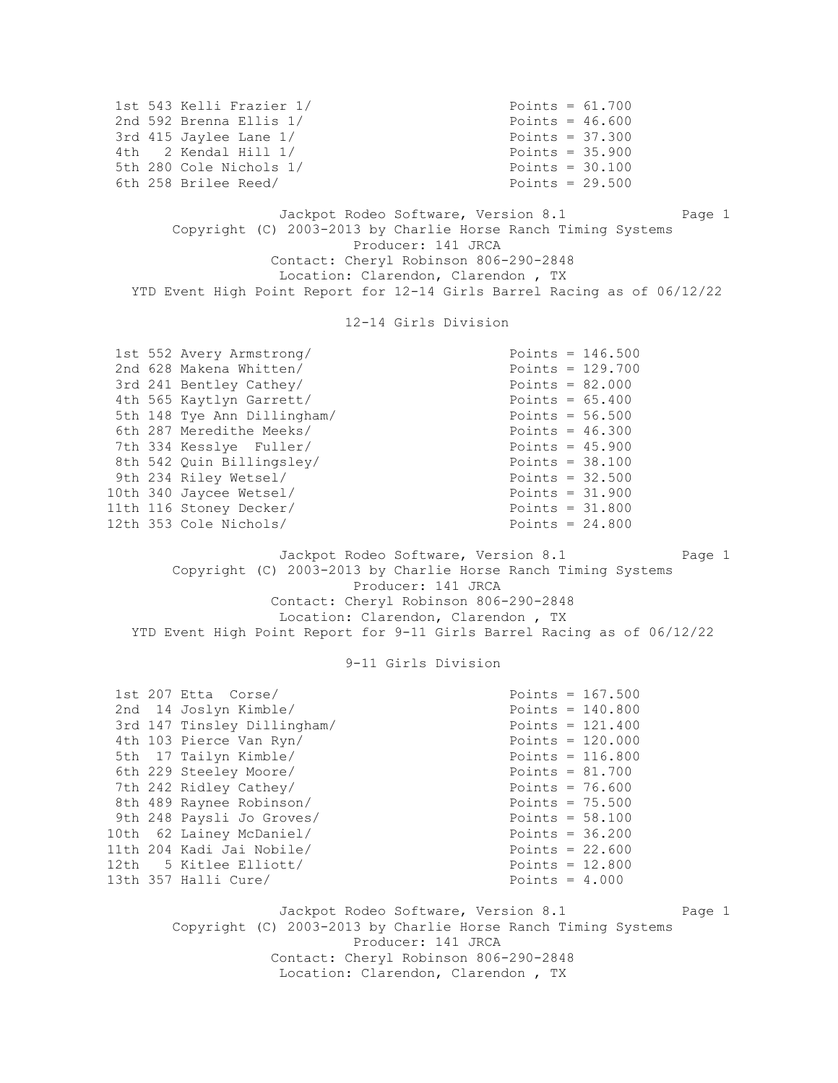1st 543 Kelli Frazier 1/ Points = 61.700 2nd 592 Brenna Ellis 1/ Points = 46.600 3rd 415 Jaylee Lane 1/ Points = 37.300 4th 2 Kendal Hill 1/ Points = 35.900 5th 280 Cole Nichols 1/ Points = 30.100 6th 258 Brilee Reed/ Points = 29.500 Jackpot Rodeo Software, Version 8.1 Page 1 Copyright (C) 2003-2013 by Charlie Horse Ranch Timing Systems Producer: 141 JRCA Contact: Cheryl Robinson 806-290-2848 Location: Clarendon, Clarendon , TX YTD Event High Point Report for 12-14 Girls Barrel Racing as of 06/12/22 12-14 Girls Division 1st 552 Avery Armstrong/ Points = 146.500 2nd 628 Makena Whitten/<br>
3rd 241 Bentley Cathey/<br>
Points = 82.000 3rd 241 Bentley Cathey/ Points = 82.000 4th 565 Kaytlyn Garrett/ Points = 65.400 5th 148 Tye Ann Dillingham/ Points = 56.500 6th 287 Meredithe Meeks/ Points = 46.300 7th 334 Kesslye Fuller/ Points = 45.900 8th 542 Quin Billingsley/ Points = 38.100 9th 234 Riley Wetsel/ Points = 32.500 10th 340 Jaycee Wetsel/ Points = 31.900 11th 116 Stoney Decker/ Points = 31.800 12th 353 Cole Nichols/ Points = 24.800 Jackpot Rodeo Software, Version 8.1 Page 1 Copyright (C) 2003-2013 by Charlie Horse Ranch Timing Systems Producer: 141 JRCA Contact: Cheryl Robinson 806-290-2848 Location: Clarendon, Clarendon , TX YTD Event High Point Report for 9-11 Girls Barrel Racing as of 06/12/22 9-11 Girls Division 1st 207 Etta Corse/ Points = 167.500 2nd 14 Joslyn Kimble/ Points = 140.800 3rd 147 Tinsley Dillingham/ Points = 121.400 4th 103 Pierce Van Ryn/ Points = 120.000 5th 17 Tailyn Kimble/ Points = 116.800 6th 229 Steeley Moore/ Points = 81.700<br>
7th 242 Ridley Cathey/ Points = 76.600 7th 242 Ridley Cathey/ Points = 76.600 8th 489 Raynee Robinson/ Points = 75.500 9th 248 Paysli Jo Groves/ Points = 58.100 10th 62 Lainey McDaniel/ Points = 36.200 11th 204 Kadi Jai Nobile/ Points = 22.600 12th 5 Kitlee Elliott/ Points = 12.800 13th 357 Halli Cure/ **Points = 4.000** Jackpot Rodeo Software, Version 8.1 Page 1 Copyright (C) 2003-2013 by Charlie Horse Ranch Timing Systems Producer: 141 JRCA Contact: Cheryl Robinson 806-290-2848 Location: Clarendon, Clarendon , TX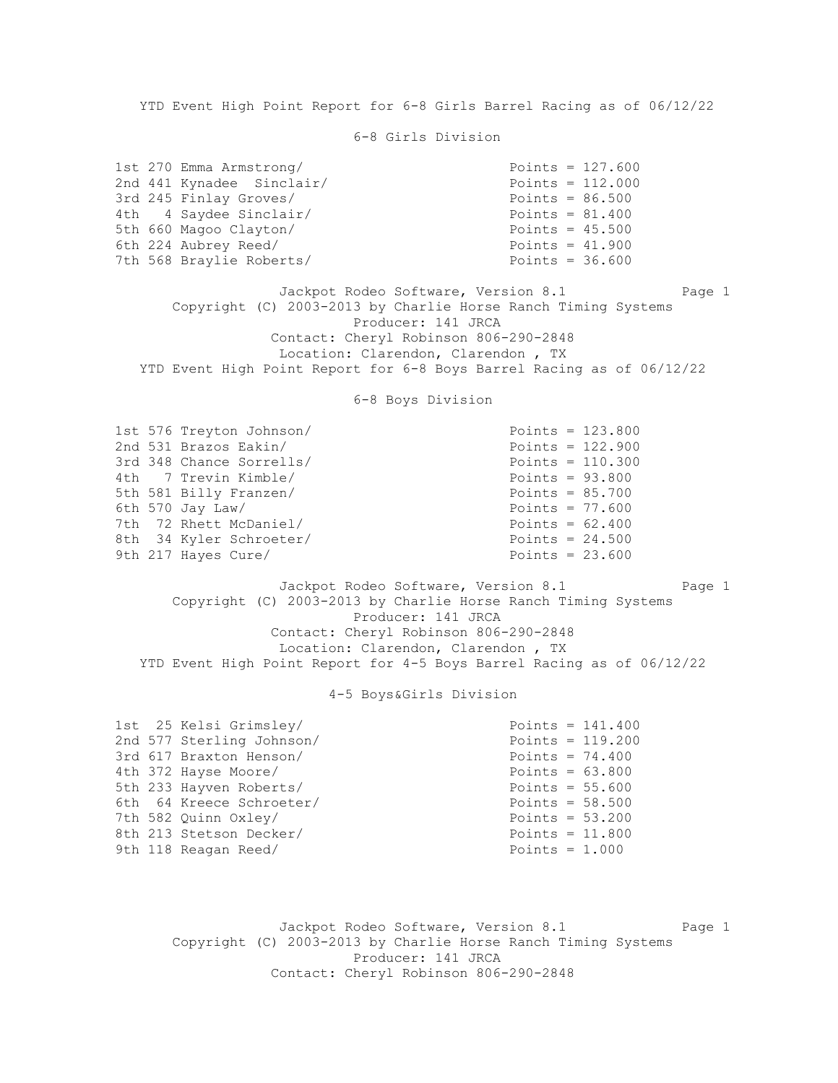YTD Event High Point Report for 6-8 Girls Barrel Racing as of 06/12/22

6-8 Girls Division

| 1st 270 Emma Armstrong/   | Points = $127.600$ |
|---------------------------|--------------------|
| 2nd 441 Kynadee Sinclair/ | Points = $112.000$ |
| 3rd 245 Finlay Groves/    | Points = $86.500$  |
| 4th 4 Saydee Sinclair/    | Points = $81.400$  |
| 5th 660 Magoo Clayton/    | Points = $45.500$  |
| 6th 224 Aubrey Reed/      | Points = $41.900$  |
| 7th 568 Braylie Roberts/  | Points = $36.600$  |

Jackpot Rodeo Software, Version 8.1 Page 1 Copyright (C) 2003-2013 by Charlie Horse Ranch Timing Systems Producer: 141 JRCA Contact: Cheryl Robinson 806-290-2848 Location: Clarendon, Clarendon , TX YTD Event High Point Report for 6-8 Boys Barrel Racing as of 06/12/22

6-8 Boys Division

| 1st 576 Treyton Johnson/<br>2nd 531 Brazos Eakin/ | Points = $123.800$<br>Points = $122.900$ |
|---------------------------------------------------|------------------------------------------|
| 3rd 348 Chance Sorrells/                          | Points = $110.300$                       |
| 4th 7 Trevin Kimble/                              | Points = $93.800$                        |
| 5th 581 Billy Franzen/                            | Points = $85.700$                        |
| 6th 570 Jay Law/                                  | Points = $77.600$                        |
| 7th 72 Rhett McDaniel/                            | Points = $62.400$                        |
| 8th 34 Kyler Schroeter/                           | Points = $24.500$                        |
| 9th 217 Hayes Cure/                               | Points = $23.600$                        |

Jackpot Rodeo Software, Version 8.1 Page 1 Copyright (C) 2003-2013 by Charlie Horse Ranch Timing Systems Producer: 141 JRCA Contact: Cheryl Robinson 806-290-2848 Location: Clarendon, Clarendon , TX YTD Event High Point Report for 4-5 Boys Barrel Racing as of 06/12/22

## 4-5 Boys&Girls Division

| 1st 25 Kelsi Grimsley/<br>2nd 577 Sterling Johnson/<br>3rd 617 Braxton Henson/ | Points = $141.400$<br>Points = $119.200$<br>Points = $74.400$ |
|--------------------------------------------------------------------------------|---------------------------------------------------------------|
| 4th 372 Hayse Moore/                                                           | Points = $63.800$                                             |
| 5th 233 Hayven Roberts/                                                        | Points = $55.600$                                             |
| 6th 64 Kreece Schroeter/                                                       | Points = $58.500$                                             |
| 7th 582 Ouinn Oxley/                                                           | Points = $53.200$                                             |
| 8th 213 Stetson Decker/                                                        | Points = $11.800$                                             |
| 9th 118 Reagan Reed/                                                           | Points = $1.000$                                              |

Jackpot Rodeo Software, Version 8.1 Page 1 Copyright (C) 2003-2013 by Charlie Horse Ranch Timing Systems Producer: 141 JRCA Contact: Cheryl Robinson 806-290-2848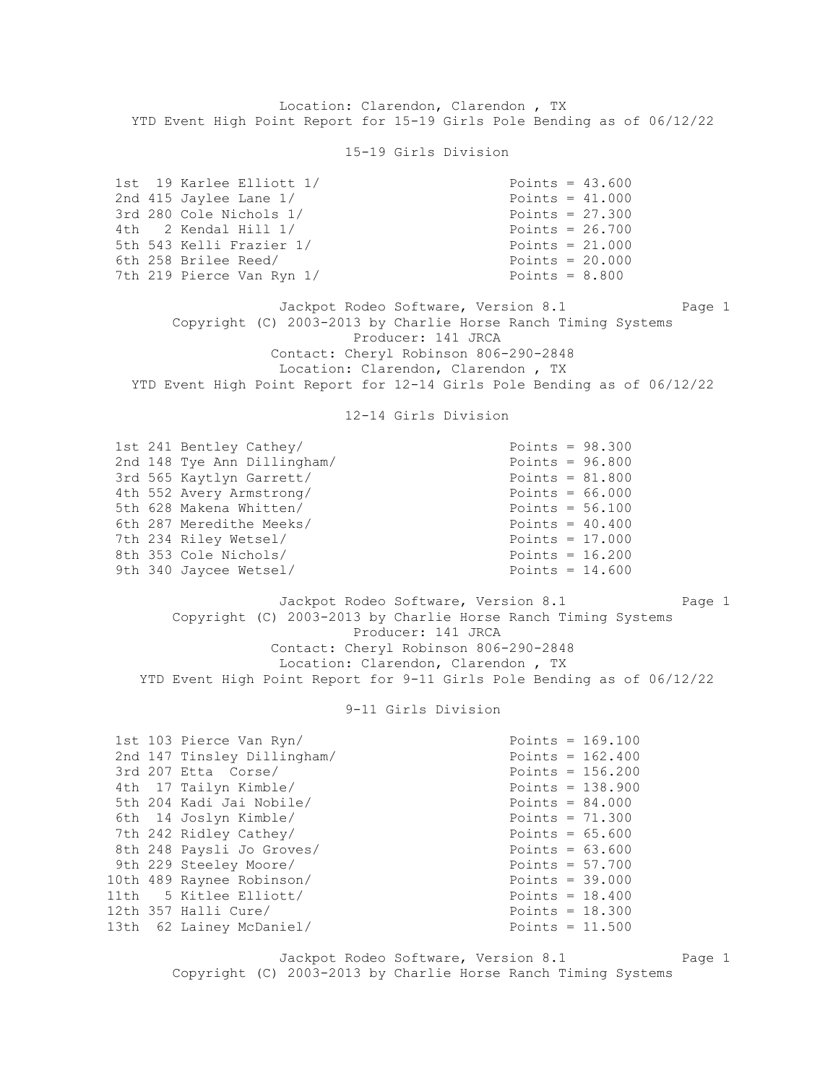Location: Clarendon, Clarendon , TX YTD Event High Point Report for 15-19 Girls Pole Bending as of 06/12/22

15-19 Girls Division

| 1st 19 Karlee Elliott 1/  | Points = $43.600$ |
|---------------------------|-------------------|
| 2nd 415 Jaylee Lane 1/    | Points = $41.000$ |
| 3rd 280 Cole Nichols 1/   | Points = $27.300$ |
| 4th 2 Kendal Hill 1/      | Points = $26.700$ |
| 5th 543 Kelli Frazier 1/  | Points = $21.000$ |
| 6th 258 Brilee Reed/      | Points = $20.000$ |
| 7th 219 Pierce Van Ryn 1/ | Points = $8.800$  |

Jackpot Rodeo Software, Version 8.1 Page 1 Copyright (C) 2003-2013 by Charlie Horse Ranch Timing Systems Producer: 141 JRCA Contact: Cheryl Robinson 806-290-2848 Location: Clarendon, Clarendon , TX YTD Event High Point Report for 12-14 Girls Pole Bending as of 06/12/22

# 12-14 Girls Division

| 1st 241 Bentley Cathey/     | Points = $98.300$ |
|-----------------------------|-------------------|
| 2nd 148 Tye Ann Dillingham/ | Points = $96.800$ |
| 3rd 565 Kaytlyn Garrett/    | Points = $81.800$ |
| 4th 552 Avery Armstrong/    | Points = $66.000$ |
| 5th 628 Makena Whitten/     | Points = $56.100$ |
| 6th 287 Meredithe Meeks/    | Points = $40.400$ |
| 7th 234 Riley Wetsel/       | Points = $17.000$ |
| 8th 353 Cole Nichols/       | Points = $16.200$ |
| 9th 340 Jaycee Wetsel/      | Points = $14.600$ |

Jackpot Rodeo Software, Version 8.1 Page 1 Copyright (C) 2003-2013 by Charlie Horse Ranch Timing Systems Producer: 141 JRCA Contact: Cheryl Robinson 806-290-2848 Location: Clarendon, Clarendon , TX YTD Event High Point Report for 9-11 Girls Pole Bending as of 06/12/22

## 9-11 Girls Division

| 1st 103 Pierce Van Ryn/     | Points = $169.100$ |
|-----------------------------|--------------------|
| 2nd 147 Tinsley Dillingham/ | Points = $162.400$ |
| 3rd 207 Etta Corse/         | Points = $156.200$ |
| 4th 17 Tailyn Kimble/       | Points = $138.900$ |
| 5th 204 Kadi Jai Nobile/    | Points = $84.000$  |
| 6th 14 Joslyn Kimble/       | Points = $71.300$  |
| 7th 242 Ridley Cathey/      | Points = $65.600$  |
| 8th 248 Paysli Jo Groves/   | Points = $63.600$  |
| 9th 229 Steeley Moore/      | Points = $57.700$  |
| 10th 489 Raynee Robinson/   | Points = $39.000$  |
| 11th 5 Kitlee Elliott/      | Points = $18.400$  |
| 12th 357 Halli Cure/        | Points = $18.300$  |
| 13th 62 Lainey McDaniel/    | Points = $11.500$  |

Jackpot Rodeo Software, Version 8.1 Page 1 Copyright (C) 2003-2013 by Charlie Horse Ranch Timing Systems